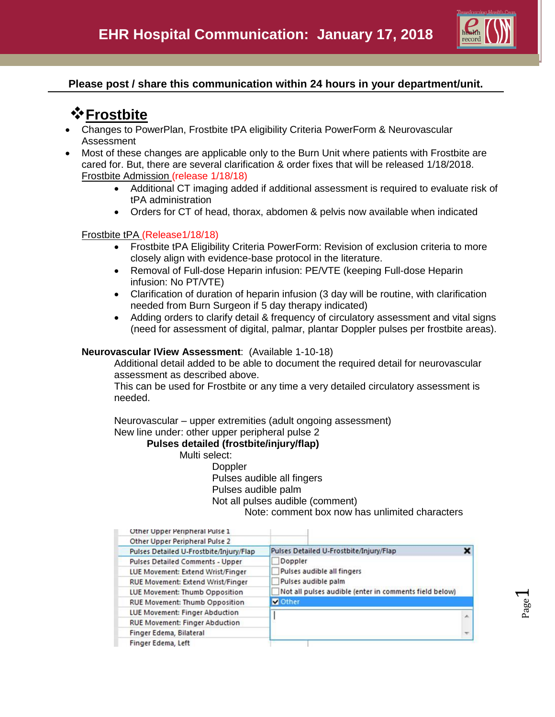

### **Please post / share this communication within 24 hours in your department/unit.**

# *<u>* Frostbite</u>

- Changes to PowerPlan, Frostbite tPA eligibility Criteria PowerForm & Neurovascular Assessment
- Most of these changes are applicable only to the Burn Unit where patients with Frostbite are cared for. But, there are several clarification & order fixes that will be released 1/18/2018. Frostbite Admission (release 1/18/18)
	- Additional CT imaging added if additional assessment is required to evaluate risk of tPA administration
	- Orders for CT of head, thorax, abdomen & pelvis now available when indicated

#### Frostbite tPA (Release1/18/18)

- Frostbite tPA Eligibility Criteria PowerForm: Revision of exclusion criteria to more closely align with evidence-base protocol in the literature.
- Removal of Full-dose Heparin infusion: PE/VTE (keeping Full-dose Heparin infusion: No PT/VTE)
- Clarification of duration of heparin infusion (3 day will be routine, with clarification needed from Burn Surgeon if 5 day therapy indicated)
- Adding orders to clarify detail & frequency of circulatory assessment and vital signs (need for assessment of digital, palmar, plantar Doppler pulses per frostbite areas).

#### **Neurovascular IView Assessment**: (Available 1-10-18)

Additional detail added to be able to document the required detail for neurovascular assessment as described above.

This can be used for Frostbite or any time a very detailed circulatory assessment is needed.

Neurovascular – upper extremities (adult ongoing assessment) New line under: other upper peripheral pulse 2

#### **Pulses detailed (frostbite/injury/flap)**

Multi select:

Doppler Pulses audible all fingers Pulses audible palm Not all pulses audible (comment)

Note: comment box now has unlimited characters

| Other Upper Peripheral Pulse 1           |                                                        |    |
|------------------------------------------|--------------------------------------------------------|----|
| Other Upper Peripheral Pulse 2           |                                                        |    |
| Pulses Detailed U-Frostbite/Injury/Flap  | Pulses Detailed U-Frostbite/Injury/Flap                | ×  |
| <b>Pulses Detailed Comments - Upper</b>  | Doppler                                                |    |
| LUE Movement: Extend Wrist/Finger        | Pulses audible all fingers                             |    |
| <b>RUE Movement: Extend Wrist/Finger</b> | Pulses audible palm                                    |    |
| LUE Movement: Thumb Opposition           | Not all pulses audible (enter in comments field below) |    |
| <b>RUE Movement: Thumb Opposition</b>    | <b>V</b> Other                                         |    |
| LUE Movement: Finger Abduction           |                                                        | A. |
| <b>RUE Movement: Finger Abduction</b>    |                                                        |    |
| Finger Edema, Bilateral                  |                                                        |    |
| Finger Edema, Left                       |                                                        |    |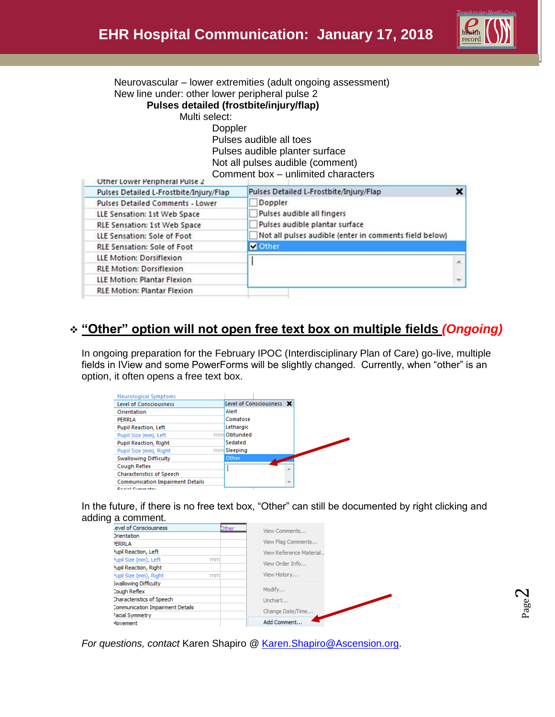

 $\overline{\mathbf{x}}$ 

×

Neurovascular – lower extremities (adult ongoing assessment) New line under: other lower peripheral pulse 2 **Pulses detailed (frostbite/injury/flap)** Multi select: **Doppler** Pulses audible all toes Pulses audible planter surface Not all pulses audible (comment) Comment box – unlimited characters Other Lower Peripheral Pulse 2 Pulses Detailed L-Frostbite/Injury/Flap Pulses Detailed L-Frostbite/Injury/Flap **Pulses Detailed Comments - Lower** Doppler Pulses audible all fingers LLE Sensation: 1st Web Space Pulses audible plantar surface RLE Sensation: 1st Web Space Not all pulses audible (enter in comments field below) LLE Sensation: Sole of Foot **RLE Sensation: Sole of Foot V** Other LLE Motion: Dorsiflexion T **RLE Motion: Dorsiflexion** LLE Motion: Plantar Flexion

# **"Other" option will not open free text box on multiple fields** *(Ongoing)*

In ongoing preparation for the February IPOC (Interdisciplinary Plan of Care) go-live, multiple fields in IView and some PowerForms will be slightly changed. Currently, when "other" is an option, it often opens a free text box.

| <b>Neurological Symptoms</b>            |                          |
|-----------------------------------------|--------------------------|
| <b>Level of Consciousness</b>           | Level of Consciousness X |
| Orientation                             | Alert                    |
| PERRLA                                  | Comatose                 |
| <b>Pupil Reaction, Left</b>             | Lethargic                |
| Pupil Size (mm), Left                   | Obtunded<br>mm           |
| <b>Pupil Reaction, Right</b>            | Sedated                  |
| Pupil Size (mm), Right                  | mm Sleeping              |
| <b>Swallowing Difficulty</b>            | Other                    |
| Cough Reflex                            | ×                        |
| <b>Characteristics of Speech</b>        |                          |
| <b>Communication Impairment Details</b> | $\overline{\nabla}$      |
| <b>Control Companies</b>                |                          |

**RLE Motion: Plantar Flexion** 

In the future, if there is no free text box, "Other" can still be documented by right clicking and adding a comment.

| evel of Consciousness<br>Dther                              |               |
|-------------------------------------------------------------|---------------|
|                                                             | View Comments |
| <b>Drientation</b>                                          |               |
| View Flag Comments<br><b>PERRLA</b>                         |               |
| <sup>2</sup> upil Reaction, Left<br>View Reference Material |               |
| Pupil Size (mm), Left<br>mm<br>View Order Info              |               |
| Pupil Reaction, Right                                       |               |
| View History<br><sup>2</sup> upil Size (mm), Right<br>mm    |               |
| Swallowing Difficulty                                       |               |
| Modify<br><b>Cough Reflex</b>                               |               |
| Characteristics of Speech<br>Unchart                        |               |
| <b>Communication Impairment Details</b>                     |               |
| Change Date/Time<br>Facial Symmetry                         |               |
| Add Comment<br>Movement                                     |               |

*For questions, contact* Karen Shapiro *@* [Karen.Shapiro@Ascension.org.](mailto:Karen.Shapiro@Ascension.org)